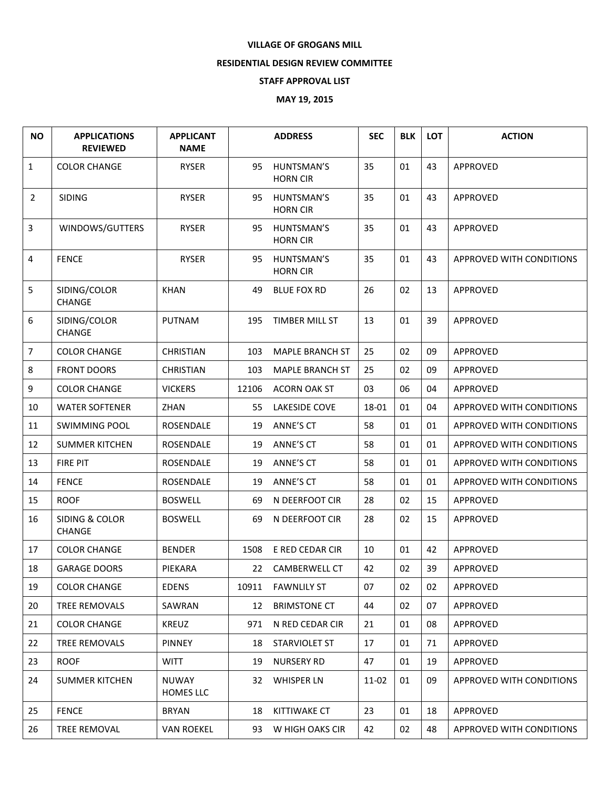## **VILLAGE OF GROGANS MILL**

## **RESIDENTIAL DESIGN REVIEW COMMITTEE**

## **STAFF APPROVAL LIST**

## **MAY 19, 2015**

| <b>NO</b>      | <b>APPLICATIONS</b><br><b>REVIEWED</b> | <b>APPLICANT</b><br><b>NAME</b>  |       | <b>ADDRESS</b>                | <b>SEC</b> | <b>BLK</b> | <b>LOT</b> | <b>ACTION</b>            |
|----------------|----------------------------------------|----------------------------------|-------|-------------------------------|------------|------------|------------|--------------------------|
| $\mathbf{1}$   | <b>COLOR CHANGE</b>                    | <b>RYSER</b>                     | 95    | HUNTSMAN'S<br><b>HORN CIR</b> | 35         | 01         | 43         | APPROVED                 |
| $\overline{2}$ | <b>SIDING</b>                          | <b>RYSER</b>                     | 95    | HUNTSMAN'S<br><b>HORN CIR</b> | 35         | 01         | 43         | <b>APPROVED</b>          |
| 3              | WINDOWS/GUTTERS                        | <b>RYSER</b>                     | 95    | HUNTSMAN'S<br><b>HORN CIR</b> | 35         | 01         | 43         | APPROVED                 |
| 4              | <b>FENCE</b>                           | <b>RYSER</b>                     | 95    | HUNTSMAN'S<br><b>HORN CIR</b> | 35         | 01         | 43         | APPROVED WITH CONDITIONS |
| 5              | SIDING/COLOR<br><b>CHANGE</b>          | <b>KHAN</b>                      | 49    | <b>BLUE FOX RD</b>            | 26         | 02         | 13         | APPROVED                 |
| 6              | SIDING/COLOR<br><b>CHANGE</b>          | <b>PUTNAM</b>                    | 195   | <b>TIMBER MILL ST</b>         | 13         | 01         | 39         | APPROVED                 |
| $\overline{7}$ | <b>COLOR CHANGE</b>                    | <b>CHRISTIAN</b>                 | 103   | <b>MAPLE BRANCH ST</b>        | 25         | 02         | 09         | APPROVED                 |
| 8              | <b>FRONT DOORS</b>                     | <b>CHRISTIAN</b>                 | 103   | <b>MAPLE BRANCH ST</b>        | 25         | 02         | 09         | APPROVED                 |
| 9              | <b>COLOR CHANGE</b>                    | <b>VICKERS</b>                   | 12106 | <b>ACORN OAK ST</b>           | 03         | 06         | 04         | <b>APPROVED</b>          |
| 10             | <b>WATER SOFTENER</b>                  | ZHAN                             | 55    | LAKESIDE COVE                 | 18-01      | 01         | 04         | APPROVED WITH CONDITIONS |
| 11             | <b>SWIMMING POOL</b>                   | ROSENDALE                        | 19    | ANNE'S CT                     | 58         | 01         | 01         | APPROVED WITH CONDITIONS |
| 12             | <b>SUMMER KITCHEN</b>                  | ROSENDALE                        | 19    | ANNE'S CT                     | 58         | 01         | 01         | APPROVED WITH CONDITIONS |
| 13             | <b>FIRE PIT</b>                        | ROSENDALE                        | 19    | ANNE'S CT                     | 58         | 01         | 01         | APPROVED WITH CONDITIONS |
| 14             | <b>FENCE</b>                           | ROSENDALE                        | 19    | ANNE'S CT                     | 58         | 01         | 01         | APPROVED WITH CONDITIONS |
| 15             | <b>ROOF</b>                            | <b>BOSWELL</b>                   | 69    | N DEERFOOT CIR                | 28         | 02         | 15         | APPROVED                 |
| 16             | SIDING & COLOR<br><b>CHANGE</b>        | <b>BOSWELL</b>                   | 69    | N DEERFOOT CIR                | 28         | 02         | 15         | APPROVED                 |
| 17             | <b>COLOR CHANGE</b>                    | <b>BENDER</b>                    | 1508  | E RED CEDAR CIR               | 10         | 01         | 42         | APPROVED                 |
| 18             | <b>GARAGE DOORS</b>                    | PIEKARA                          | 22    | CAMBERWELL CT                 | 42         | 02         | 39         | APPROVED                 |
| 19             | <b>COLOR CHANGE</b>                    | <b>EDENS</b>                     |       | 10911 FAWNLILY ST             | 07         | 02         | 02         | APPROVED                 |
| 20             | TREE REMOVALS                          | SAWRAN                           |       | 12 BRIMSTONE CT               | 44         | 02         | 07         | <b>APPROVED</b>          |
| 21             | <b>COLOR CHANGE</b>                    | <b>KREUZ</b>                     |       | 971 N RED CEDAR CIR           | 21         | 01         | 08         | APPROVED                 |
| 22             | TREE REMOVALS                          | <b>PINNEY</b>                    |       | 18 STARVIOLET ST              | 17         | 01         | 71         | APPROVED                 |
| 23             | <b>ROOF</b>                            | WITT                             |       | 19 NURSERY RD                 | 47         | 01         | 19         | APPROVED                 |
| 24             | <b>SUMMER KITCHEN</b>                  | <b>NUWAY</b><br><b>HOMES LLC</b> |       | 32 WHISPER LN                 | 11-02      | 01         | 09         | APPROVED WITH CONDITIONS |
| 25             | <b>FENCE</b>                           | <b>BRYAN</b>                     |       | 18 KITTIWAKE CT               | 23         | 01         | 18         | APPROVED                 |
| 26             | TREE REMOVAL                           | <b>VAN ROEKEL</b>                |       | 93 W HIGH OAKS CIR            | 42         | 02         | 48         | APPROVED WITH CONDITIONS |